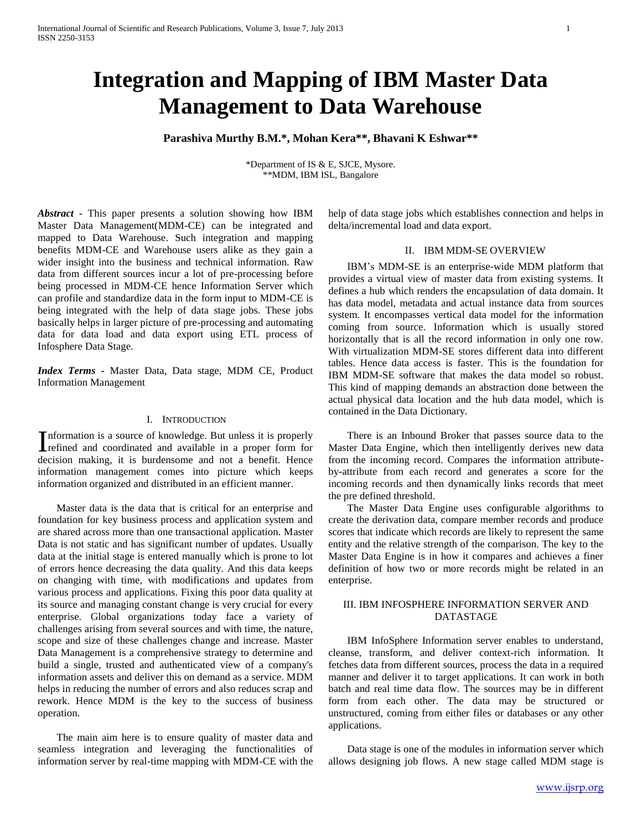# **Integration and Mapping of IBM Master Data Management to Data Warehouse**

# **Parashiva Murthy B.M.\*, Mohan Kera\*\*, Bhavani K Eshwar\*\***

\*Department of IS & E, SJCE, Mysore. \*\*MDM, IBM ISL, Bangalore

*Abstract* **-** This paper presents a solution showing how IBM Master Data Management(MDM-CE) can be integrated and mapped to Data Warehouse. Such integration and mapping benefits MDM-CE and Warehouse users alike as they gain a wider insight into the business and technical information. Raw data from different sources incur a lot of pre-processing before being processed in MDM-CE hence Information Server which can profile and standardize data in the form input to MDM-CE is being integrated with the help of data stage jobs. These jobs basically helps in larger picture of pre-processing and automating data for data load and data export using ETL process of Infosphere Data Stage.

*Index Terms* **-** Master Data, Data stage, MDM CE, Product Information Management

## I. INTRODUCTION

nformation is a source of knowledge. But unless it is properly Information is a source of knowledge. But unless it is properly refined and coordinated and available in a proper form for decision making, it is burdensome and not a benefit. Hence information management comes into picture which keeps information organized and distributed in an efficient manner.

Master data is the data that is critical for an enterprise and foundation for key business process and application system and are shared across more than one transactional application. Master Data is not static and has significant number of updates. Usually data at the initial stage is entered manually which is prone to lot of errors hence decreasing the data quality. And this data keeps on changing with time, with modifications and updates from various process and applications. Fixing this poor data quality at its source and managing constant change is very crucial for every enterprise. Global organizations today face a variety of challenges arising from several sources and with time, the nature, scope and size of these challenges change and increase. Master Data Management is a comprehensive strategy to determine and build a single, trusted and authenticated view of a company's information assets and deliver this on demand as a service. MDM helps in reducing the number of errors and also reduces scrap and rework. Hence MDM is the key to the success of business operation.

The main aim here is to ensure quality of master data and seamless integration and leveraging the functionalities of information server by real-time mapping with MDM-CE with the help of data stage jobs which establishes connection and helps in delta/incremental load and data export.

#### II. IBM MDM-SE OVERVIEW

IBM's MDM-SE is an enterprise-wide MDM platform that provides a virtual view of master data from existing systems. It defines a hub which renders the encapsulation of data domain. It has data model, metadata and actual instance data from sources system. It encompasses vertical data model for the information coming from source. Information which is usually stored horizontally that is all the record information in only one row. With virtualization MDM-SE stores different data into different tables. Hence data access is faster. This is the foundation for IBM MDM-SE software that makes the data model so robust. This kind of mapping demands an abstraction done between the actual physical data location and the hub data model, which is contained in the Data Dictionary.

There is an Inbound Broker that passes source data to the Master Data Engine, which then intelligently derives new data from the incoming record. Compares the information attributeby-attribute from each record and generates a score for the incoming records and then dynamically links records that meet the pre defined threshold.

The Master Data Engine uses configurable algorithms to create the derivation data, compare member records and produce scores that indicate which records are likely to represent the same entity and the relative strength of the comparison. The key to the Master Data Engine is in how it compares and achieves a finer definition of how two or more records might be related in an enterprise.

# III. IBM INFOSPHERE INFORMATION SERVER AND DATASTAGE

IBM InfoSphere Information server enables to understand, cleanse, transform, and deliver context-rich information. It fetches data from different sources, process the data in a required manner and deliver it to target applications. It can work in both batch and real time data flow. The sources may be in different form from each other. The data may be structured or unstructured, coming from either files or databases or any other applications.

Data stage is one of the modules in information server which allows designing job flows. A new stage called MDM stage is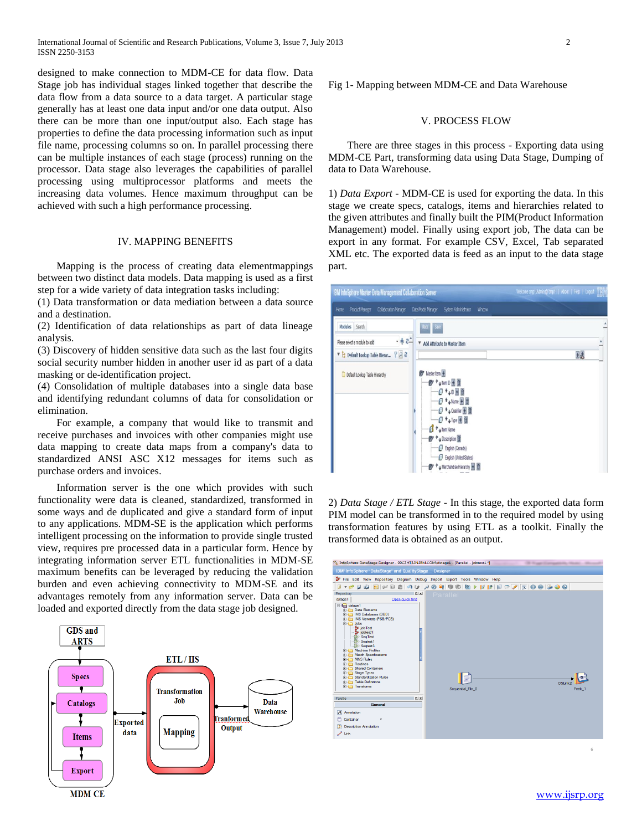International Journal of Scientific and Research Publications, Volume 3, Issue 7, July 2013 2 ISSN 2250-3153

designed to make connection to MDM-CE for data flow. Data Stage job has individual stages linked together that describe the data flow from a data source to a data target. A particular stage generally has at least one data input and/or one data output. Also there can be more than one input/output also. Each stage has properties to define the data processing information such as input file name, processing columns so on. In parallel processing there can be multiple instances of each stage (process) running on the processor. Data stage also leverages the capabilities of parallel processing using multiprocessor platforms and meets the increasing data volumes. Hence maximum throughput can be achieved with such a high performance processing.

# IV. MAPPING BENEFITS

Mapping is the process of creating [data elementmappings](http://en.wikipedia.org/wiki/Data_element) between two distinct [data models.](http://en.wikipedia.org/wiki/Data_model) Data mapping is used as a first step for a wide variety o[f data integration](http://en.wikipedia.org/wiki/Data_integration) tasks including:

(1) [Data transformation](http://en.wikipedia.org/wiki/Data_transformation) or [data mediation](http://en.wikipedia.org/wiki/Data_mediation) between a data source and a destination.

(2) Identification of data relationships as part of data lineage analysis.

(3) Discovery of hidden sensitive data such as the last four digits social security number hidden in another user id as part of a data masking or [de-identification](http://en.wikipedia.org/wiki/De-identification) project.

(4) [Consolidation](http://en.wikipedia.org/w/index.php?title=Data_consolidation&action=edit&redlink=1) of multiple databases into a single data base and identifying redundant columns of data for consolidation or elimination.

For example, a company that would like to transmit and receive purchases and invoices with other companies might use data mapping to create data maps from a company's data to standardized [ANSI ASC X12](http://en.wikipedia.org/wiki/ANSI_ASC_X12) messages for items such as purchase orders and invoices.

Information server is the one which provides with such functionality were data is cleaned, standardized, transformed in some ways and de duplicated and give a standard form of input to any applications. MDM-SE is the application which performs intelligent processing on the information to provide single trusted view, requires pre processed data in a particular form. Hence by integrating information server ETL functionalities in MDM-SE maximum benefits can be leveraged by reducing the validation burden and even achieving connectivity to MDM-SE and its advantages remotely from any information server. Data can be loaded and exported directly from the data stage job designed.



Fig 1- Mapping between MDM-CE and Data Warehouse

#### V. PROCESS FLOW

There are three stages in this process - Exporting data using MDM-CE Part, transforming data using Data Stage, Dumping of data to Data Warehouse.

1) *Data Export -* MDM-CE is used for exporting the data. In this stage we create specs, catalogs, items and hierarchies related to the given attributes and finally built the PIM(Product Information Management) model. Finally using export job, The data can be export in any format. For example CSV, Excel, Tab separated XML etc. The exported data is feed as an input to the data stage part.



2) *Data Stage / ETL Stage* - In this stage, the exported data form PIM model can be transformed in to the required model by using transformation features by using ETL as a toolkit. Finally the transformed data is obtained as an output.

| IBM® InfoSphere® DataStage® and QualityStage  Designer<br>File Edit View Repository Diagram Debug Import Export Tools Window Help                                                                                                                                                                                                                                                                                                                                                                                         |  |
|---------------------------------------------------------------------------------------------------------------------------------------------------------------------------------------------------------------------------------------------------------------------------------------------------------------------------------------------------------------------------------------------------------------------------------------------------------------------------------------------------------------------------|--|
|                                                                                                                                                                                                                                                                                                                                                                                                                                                                                                                           |  |
|                                                                                                                                                                                                                                                                                                                                                                                                                                                                                                                           |  |
|                                                                                                                                                                                                                                                                                                                                                                                                                                                                                                                           |  |
| $\Box$ $\times$<br>Repository<br>Parallel                                                                                                                                                                                                                                                                                                                                                                                                                                                                                 |  |
| dstage1<br>Open quick find                                                                                                                                                                                                                                                                                                                                                                                                                                                                                                |  |
| E-Indi dstage1<br><b>ED</b> Data Elements<br><b>EDIMS</b> Databases (DBD)<br><b>ED IMS Viewsets (PSB/PCB)</b><br><b>E-Ch</b> Jobs<br><b>Sp</b> job Test<br><b>El iobtest1</b><br>SeqTest<br><b>Sectest1</b><br>Sectest3<br>Machine Profiles<br><b>ED</b> Match Specifications<br><b>E-MNS Rules</b><br><b>El Ca Routines</b><br>Shared Containers<br><b>El Cal Stage Types</b><br><b>River Standardization Rules</b><br><b>E</b> Table Definitions<br><b>DSIE</b><br><b>El-</b> Transforms<br>Sequential File 0<br>Peek_1 |  |
| $\Box$ $\times$<br>Palette                                                                                                                                                                                                                                                                                                                                                                                                                                                                                                |  |
| General                                                                                                                                                                                                                                                                                                                                                                                                                                                                                                                   |  |
| A Annotation                                                                                                                                                                                                                                                                                                                                                                                                                                                                                                              |  |
| Container                                                                                                                                                                                                                                                                                                                                                                                                                                                                                                                 |  |
| <b>Description Annotation</b>                                                                                                                                                                                                                                                                                                                                                                                                                                                                                             |  |
| $\mathcal{F}$ Link                                                                                                                                                                                                                                                                                                                                                                                                                                                                                                        |  |

6